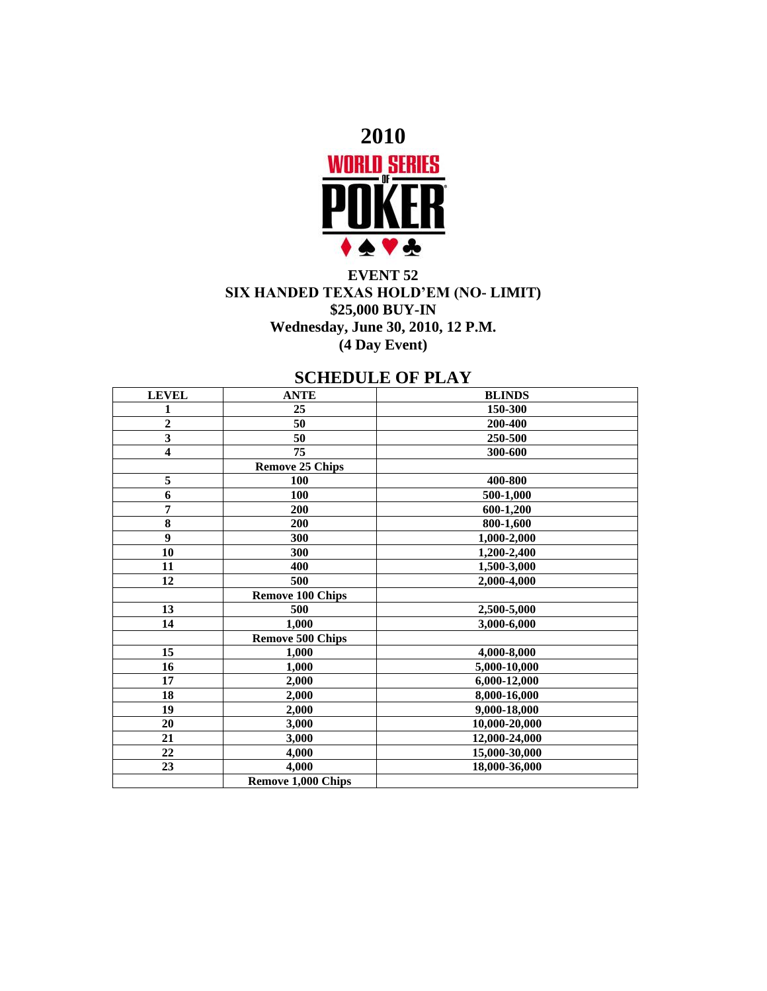

## **EVENT 52 SIX HANDED TEXAS HOLD'EM (NO- LIMIT) \$25,000 BUY-IN Wednesday, June 30, 2010, 12 P.M. (4 Day Event)**

## **SCHEDULE OF PLAY**

| <b>LEVEL</b>            | <b>ANTE</b>               | <b>BLINDS</b> |
|-------------------------|---------------------------|---------------|
| 1                       | 25                        | 150-300       |
| $\overline{2}$          | 50                        | 200-400       |
| $\overline{\mathbf{3}}$ | 50                        | 250-500       |
| $\overline{\mathbf{4}}$ | $\overline{75}$           | 300-600       |
|                         | <b>Remove 25 Chips</b>    |               |
| 5                       | 100                       | 400-800       |
| 6                       | 100                       | 500-1,000     |
| 7                       | 200                       | 600-1,200     |
| 8                       | 200                       | 800-1,600     |
| 9                       | 300                       | 1,000-2,000   |
| 10                      | 300                       | 1,200-2,400   |
| 11                      | 400                       | 1,500-3,000   |
| 12                      | 500                       | 2,000-4,000   |
|                         | <b>Remove 100 Chips</b>   |               |
| 13                      | 500                       | 2,500-5,000   |
| 14                      | 1,000                     | 3,000-6,000   |
|                         | <b>Remove 500 Chips</b>   |               |
| 15                      | 1,000                     | 4,000-8,000   |
| 16                      | 1,000                     | 5,000-10,000  |
| 17                      | 2,000                     | 6,000-12,000  |
| 18                      | 2,000                     | 8,000-16,000  |
| 19                      | 2,000                     | 9,000-18,000  |
| 20                      | 3,000                     | 10,000-20,000 |
| 21                      | 3,000                     | 12,000-24,000 |
| 22                      | 4,000                     | 15,000-30,000 |
| 23                      | 4,000                     | 18,000-36,000 |
|                         | <b>Remove 1,000 Chips</b> |               |